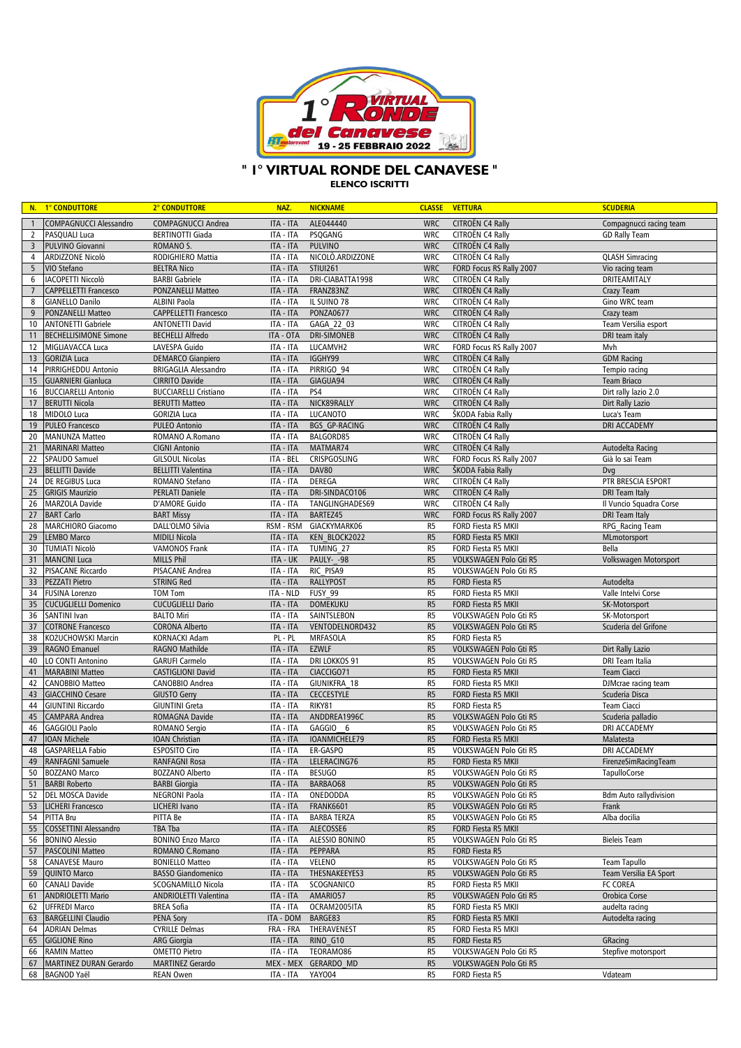

## **" 1° VIRTUAL RONDE DEL CANAVESE "**

**ELENCO ISCRITTI**

|                       | N. 1° CONDUTTORE                               | 2° CONDUTTORE                                          | NAZ.                   | <b>NICKNAME</b>                |                                  | <b>CLASSE VETTURA</b>                                   | <b>SCUDERIA</b>                    |
|-----------------------|------------------------------------------------|--------------------------------------------------------|------------------------|--------------------------------|----------------------------------|---------------------------------------------------------|------------------------------------|
| $\overline{1}$        | <b>COMPAGNUCCI Alessandro</b>                  | <b>COMPAGNUCCI Andrea</b>                              | ITA - ITA              | ALE044440                      | <b>WRC</b>                       | CITROËN C4 Rally                                        | Compagnucci racing team            |
| $\overline{2}$        | PASQUALI Luca                                  | <b>BERTINOTTI Giada</b>                                | ITA - ITA              | PSQGANG                        | <b>WRC</b>                       | CITROËN C4 Rally                                        | <b>GD Rally Team</b>               |
| $\overline{3}$        | PULVINO Giovanni                               | ROMANO S.                                              | ITA - ITA              | <b>PULVINO</b>                 | <b>WRC</b>                       | CITROËN C4 Rally                                        |                                    |
| 4                     | ARDIZZONE Nicolò                               | RODIGHIERO Mattia                                      | ITA - ITA              | NICOLO.ARDIZZONE               | <b>WRC</b>                       | CITROËN C4 Rally                                        | <b>QLASH Simracing</b>             |
| 5                     | VIO Stefano                                    | <b>BELTRA Nico</b>                                     | ITA - ITA              | <b>STIUI261</b>                | <b>WRC</b>                       | FORD Focus RS Rally 2007                                | Vio racing team                    |
| 6                     | <b>IACOPETTI Niccolò</b>                       | <b>BARBI</b> Gabriele                                  | ITA - ITA              | DRI-CIABATTA1998               | <b>WRC</b>                       | CITROËN C4 Rally                                        | DRITEAMITALY                       |
| $7\phantom{.0}$       | <b>CAPPELLETTI Francesco</b>                   | PONZANELLI Matteo                                      | <b>ITA - ITA</b>       | FRANZ83NZ                      | <b>WRC</b>                       | CITROËN C4 Rally                                        | Crazy Team                         |
| 8                     | <b>GIANELLO Danilo</b>                         | <b>ALBINI Paola</b>                                    | ITA - ITA              | IL SUINO 78                    | <b>WRC</b>                       | CITROËN C4 Rally                                        | Gino WRC team                      |
| 9<br>10               | PONZANELLI Matteo<br><b>ANTONETTI Gabriele</b> | <b>CAPPELLETTI Francesco</b><br><b>ANTONETTI David</b> | ITA - ITA<br>ITA - ITA | <b>PONZA0677</b><br>GAGA 22 03 | <b>WRC</b><br><b>WRC</b>         | CITROËN C4 Rally<br>CITROËN C4 Rally                    | Crazy team<br>Team Versilia esport |
| 11                    | <b>BECHELLISIMONE Simone</b>                   | <b>BECHELLI Alfredo</b>                                | ITA - OTA              | <b>DRI-SIMONEB</b>             | <b>WRC</b>                       | CITROËN C4 Rally                                        | DRI team italy                     |
| 12                    | MIGLIAVACCA Luca                               | LAVESPA Guido                                          | ITA - ITA              | LUCAMVH2                       | <b>WRC</b>                       | FORD Focus RS Rally 2007                                | Mvh                                |
| 13                    | <b>GORIZIA Luca</b>                            | <b>DEMARCO Gianpiero</b>                               | ITA - ITA              | IGGHY99                        | <b>WRC</b>                       | CITROËN C4 Rally                                        | <b>GDM Racing</b>                  |
| 14                    | PIRRIGHEDDU Antonio                            | <b>BRIGAGLIA Alessandro</b>                            | ITA - ITA              | PIRRIGO 94                     | <b>WRC</b>                       | CITROËN C4 Rally                                        | Tempio racing                      |
| 15                    | <b>GUARNIERI Gianluca</b>                      | <b>CIRRITO Davide</b>                                  | ITA - ITA              | GIAGUA94                       | <b>WRC</b>                       | CITROËN C4 Rally                                        | Team Briaco                        |
| 16                    | <b>BUCCIARELLI Antonio</b>                     | <b>BUCCIARELLI Cristiano</b>                           | ITA - ITA              | PS4                            | <b>WRC</b>                       | CITROËN C4 Rally                                        | Dirt rally lazio 2.0               |
| 17                    | <b>BERUTTI Nicola</b>                          | <b>BERUTTI Matteo</b>                                  | ITA - ITA              | NICK89RALLY                    | <b>WRC</b>                       | CITROËN C4 Rally                                        | Dirt Rally Lazio                   |
| 18                    | MIDOLO Luca                                    | <b>GORIZIA Luca</b>                                    | ITA - ITA              | <b>LUCANOTO</b>                | <b>WRC</b>                       | ŠKODA Fabia Rally                                       | Luca's Team                        |
| 19                    | <b>PULEO Francesco</b>                         | <b>PULEO Antonio</b>                                   | ITA - ITA              | BGS GP-RACING                  | <b>WRC</b>                       | CITROËN C4 Rally                                        | DRI ACCADEMY                       |
| 20                    | <b>MANUNZA Matteo</b>                          | ROMANO A.Romano                                        | ITA - ITA              | BALGORD85                      | <b>WRC</b>                       | CITROËN C4 Rally                                        |                                    |
| 21                    | <b>MARINARI Matteo</b>                         | <b>CIGNI Antonio</b>                                   | <b>ITA - ITA</b>       | MATMAR74                       | <b>WRC</b>                       | CITROËN C4 Rally                                        | Autodelta Racing                   |
| $\overline{22}$       | SPAUDO Samuel                                  | <b>GILSOUL Nicolas</b>                                 | ITA - BEL              | CRISPGOSLING                   | <b>WRC</b>                       | FORD Focus RS Rally 2007                                | Già lo sai Team                    |
| 23<br>24              | <b>BELLITTI Davide</b><br>DE REGIBUS Luca      | <b>BELLITTI Valentina</b><br>ROMANO Stefano            | ITA - ITA<br>ITA - ITA | DAV80<br>DEREGA                | <b>WRC</b><br><b>WRC</b>         | ŠKODA Fabia Rally<br>CITROËN C4 Rally                   | Dvg<br>PTR BRESCIA ESPORT          |
| 25                    | <b>GRIGIS Maurizio</b>                         | <b>PERLATI Daniele</b>                                 | <b>ITA - ITA</b>       | DRI-SINDACO106                 | <b>WRC</b>                       | CITROËN C4 Rally                                        | <b>DRI</b> Team Italy              |
| 26                    | MARZOLA Davide                                 | <b>D'AMORE Guido</b>                                   | ITA - ITA              | TANGLINGHADES69                | <b>WRC</b>                       | CITROËN C4 Rally                                        | Il Vuncio Squadra Corse            |
| 27                    | <b>BART Carlo</b>                              | <b>BART Missy</b>                                      | ITA - ITA              | BARTEZ45                       | <b>WRC</b>                       | FORD Focus RS Rally 2007                                | <b>DRI Team Italy</b>              |
| 28                    | MARCHIORO Giacomo                              | DALL'OLMO Silvia                                       | RSM - RSM              | GIACKYMARK06                   | R <sub>5</sub>                   | FORD Fiesta R5 MKII                                     | RPG Racing Team                    |
| 29                    | <b>LEMBO Marco</b>                             | <b>MIDILI Nicola</b>                                   | <b>ITA - ITA</b>       | KEN BLOCK2022                  | R <sub>5</sub>                   | FORD Fiesta R5 MKII                                     | MLmotorsport                       |
| 30                    | <b>TUMIATI Nicolò</b>                          | <b>VAMONOS Frank</b>                                   | ITA - ITA              | TUMING 27                      | R <sub>5</sub>                   | FORD Fiesta R5 MKII                                     | Bella                              |
| 31                    | <b>MANCINI Luca</b>                            | <b>MILLS Phil</b>                                      | ITA - UK               | PAULY- -98                     | R <sub>5</sub>                   | VOLKSWAGEN Polo Gti R5                                  | Volkswagen Motorsport              |
| 32                    | PISACANE Riccardo                              | PISACANE Andrea                                        | ITA - ITA              | RIC PISA9                      | R <sub>5</sub>                   | VOLKSWAGEN Polo Gti R5                                  |                                    |
| 33                    | <b>PEZZATI Pietro</b>                          | <b>STRING Red</b>                                      | ITA - ITA              | <b>RALLYPOST</b>               | R <sub>5</sub>                   | FORD Fiesta R5                                          | Autodelta                          |
| 34                    | <b>FUSINA Lorenzo</b>                          | <b>TOM Tom</b>                                         | ITA - NLD              | FUSY 99                        | R <sub>5</sub>                   | FORD Fiesta R5 MKII                                     | Valle Intelvi Corse                |
| 35                    | <b>CUCUGLIELLI Domenico</b>                    | <b>CUCUGLIELLI Dario</b>                               | ITA - ITA              | <b>DOMEKUKU</b>                | R <sub>5</sub>                   | FORD Fiesta R5 MKII                                     | SK-Motorsport                      |
| 36                    | <b>SANTINI Ivan</b>                            | <b>BALTO Miri</b>                                      | ITA - ITA              | SAINTSLEBON                    | R <sub>5</sub>                   | VOLKSWAGEN Polo Gti R5                                  | SK-Motorsport                      |
| $\overline{37}$<br>38 | <b>COTRONE Francesco</b>                       | <b>CORONA Alberto</b>                                  | ITA - ITA              | VENTODELNORD432                | R <sub>5</sub><br>R <sub>5</sub> | VOLKSWAGEN Polo Gti R5<br>FORD Fiesta R5                | Scuderia del Grifone               |
| 39                    | KOŻUCHOWSKI Marcin<br><b>RAGNO Emanuel</b>     | KORNACKI Adam<br>RAGNO Mathilde                        | PL-PL<br>ITA - ITA     | MRFASOLA<br><b>EZWLF</b>       | R <sub>5</sub>                   | VOLKSWAGEN Polo Gti R5                                  | Dirt Rally Lazio                   |
| 40                    | LO CONTI Antonino                              | <b>GARUFI Carmelo</b>                                  | ITA - ITA              | DRI LOKKOS 91                  | R <sub>5</sub>                   | VOLKSWAGEN Polo Gti R5                                  | <b>DRI Team Italia</b>             |
| 41                    | <b>MARABINI Matteo</b>                         | <b>CASTIGLIONI David</b>                               | ITA - ITA              | CIACCIGO71                     | R <sub>5</sub>                   | FORD Fiesta R5 MKII                                     | <b>Team Ciacci</b>                 |
| 42                    | <b>CANOBBIO Matteo</b>                         | CANOBBIO Andrea                                        | ITA - ITA              | GIUNIKFRA 18                   | R <sub>5</sub>                   | FORD Fiesta R5 MKII                                     | DJMcrae racing team                |
| 43                    | <b>GIACCHINO Cesare</b>                        | <b>GIUSTO Gerry</b>                                    | ITA - ITA              | <b>CECCESTYLE</b>              | R <sub>5</sub>                   | FORD Fiesta R5 MKII                                     | Scuderia Disca                     |
| 44                    | <b>GIUNTINI Riccardo</b>                       | <b>GIUNTINI Greta</b>                                  | ITA - ITA              | RIKY81                         | R <sub>5</sub>                   | FORD Fiesta R5                                          | Team Ciacci                        |
| 45                    | <b>CAMPARA Andrea</b>                          | ROMAGNA Davide                                         | ITA - ITA              | ANDDREA1996C                   | R <sub>5</sub>                   | VOLKSWAGEN Polo Gti R5                                  | Scuderia palladio                  |
| 46                    | <b>GAGGIOLI Paolo</b>                          | ROMANO Sergio                                          | ITA - ITA              | GAGGIO 6                       | R <sub>5</sub>                   | <b>VOLKSWAGEN Polo Gti R5</b>                           | DRI ACCADEMY                       |
| 47                    | IOAN Michele                                   | <b>IOAN Christian</b>                                  | ITA - ITA              | IOANMICHELE79                  | R <sub>5</sub>                   | FORD Fiesta R5 MKII                                     | Malatesta                          |
| 48                    | <b>GASPARELLA Fabio</b>                        | <b>ESPOSITO Ciro</b>                                   | ITA - ITA              | ER-GASPO                       | R <sub>5</sub>                   | VOLKSWAGEN Polo Gti R5                                  | DRI ACCADEMY                       |
|                       | 49 RANFAGNI Samuele                            | RANFAGNI Rosa                                          |                        | ITA - ITA LELERACING76         | R5                               | FORD Fiesta R5 MKII                                     | FirenzeSimRacingTeam               |
|                       | 50 BOZZANO Marco<br><b>BARBI Roberto</b>       | <b>BOZZANO Alberto</b>                                 | ITA - ITA<br>ITA - ITA | <b>BESUGO</b><br>BARBAO68      | R <sub>5</sub><br>R <sub>5</sub> | VOLKSWAGEN Polo Gti R5                                  | <b>TapulloCorse</b>                |
| 51<br>52              | <b>DEL MOSCA Davide</b>                        | <b>BARBI Giorgia</b><br><b>NEGRONI Paola</b>           | ITA - ITA              | ONEDODDA                       | R <sub>5</sub>                   | VOLKSWAGEN Polo Gti R5<br><b>VOLKSWAGEN Polo Gti R5</b> | <b>Bdm Auto rallvdivision</b>      |
| 53                    | <b>LICHERI Francesco</b>                       | LICHERI Ivano                                          | <b>ITA - ITA</b>       | <b>FRANK6601</b>               | R <sub>5</sub>                   | VOLKSWAGEN Polo Gti R5                                  | Frank                              |
| 54                    | <b>PITTA Bru</b>                               | PITTA Be                                               | ITA - ITA              | <b>BARBA TERZA</b>             | R <sub>5</sub>                   | <b>VOLKSWAGEN Polo Gti R5</b>                           | Alba docilia                       |
| 55                    | <b>COSSETTINI Alessandro</b>                   | TBA Tba                                                | <b>ITA - ITA</b>       | ALECOSSE6                      | R <sub>5</sub>                   | FORD Fiesta R5 MKII                                     |                                    |
| 56                    | <b>BONINO Alessio</b>                          | <b>BONINO Enzo Marco</b>                               | ITA - ITA              | ALESSIO BONINO                 | R <sub>5</sub>                   | VOLKSWAGEN Polo Gti R5                                  | <b>Bieleis Team</b>                |
| 57                    | <b>PASCOLINI Matteo</b>                        | ROMANO C.Romano                                        | ITA - ITA              | PEPPARA                        | R <sub>5</sub>                   | FORD Fiesta R5                                          |                                    |
| 58                    | <b>CANAVESE Mauro</b>                          | <b>BONIELLO Matteo</b>                                 | ITA - ITA              | VELENO                         | R <sub>5</sub>                   | VOLKSWAGEN Polo Gti R5                                  | <b>Team Tapullo</b>                |
| 59                    | <b>QUINTO Marco</b>                            | <b>BASSO Giandomenico</b>                              | ITA - ITA              | THESNAKEEYES3                  | R <sub>5</sub>                   | VOLKSWAGEN Polo Gti R5                                  | Team Versilia EA Sport             |
| 60                    | <b>CANALI Davide</b>                           | SCOGNAMILLO Nicola                                     | ITA - ITA              | SCOGNANICO                     | R <sub>5</sub>                   | FORD Fiesta R5 MKII                                     | FC COREA                           |
| 61                    | <b>ANDRIOLETTI Mario</b>                       | ANDRIOLETTI Valentina                                  | ITA - ITA              | AMARIO57                       | R <sub>5</sub>                   | VOLKSWAGEN Polo Gti R5                                  | Orobica Corse                      |
| 62                    | <b>UFFREDI Marco</b>                           | <b>BREA Sofia</b>                                      | ITA - ITA              | OCRAM2005ITA                   | R <sub>5</sub>                   | FORD Fiesta R5 MKII                                     | audelta racing                     |
| 63                    | <b>BARGELLINI Claudio</b>                      | <b>PENA Sory</b>                                       | ITA - DOM              | BARGE83                        | R <sub>5</sub>                   | FORD Fiesta R5 MKII                                     | Autodelta racing                   |
| 64                    | <b>ADRIAN Delmas</b>                           | <b>CYRILLE Delmas</b>                                  | FRA - FRA              | THERAVENEST                    | R <sub>5</sub>                   | FORD Fiesta R5 MKII                                     |                                    |
| 65<br>66              | <b>GIGLIONE Rino</b><br><b>RAMIN Matteo</b>    | ARG Giorgia<br><b>OMETTO Pietro</b>                    | ITA - ITA<br>ITA - ITA | RINO G10<br>TEORAM086          | R <sub>5</sub><br>R <sub>5</sub> | FORD Fiesta R5<br>VOLKSWAGEN Polo Gti R5                | GRacing<br>Stepfive motorsport     |
| 67                    | <b>MARTINEZ DURAN Gerardo</b>                  | <b>MARTINEZ Gerardo</b>                                | MEX - MEX              | GERARDO MD                     | R <sub>5</sub>                   | VOLKSWAGEN Polo Gti R5                                  |                                    |
|                       | 68 BAGNOD Yaël                                 | <b>REAN Owen</b>                                       | ITA - ITA              | <b>YAYO04</b>                  | R <sub>5</sub>                   | FORD Fiesta R5                                          | Vdateam                            |
|                       |                                                |                                                        |                        |                                |                                  |                                                         |                                    |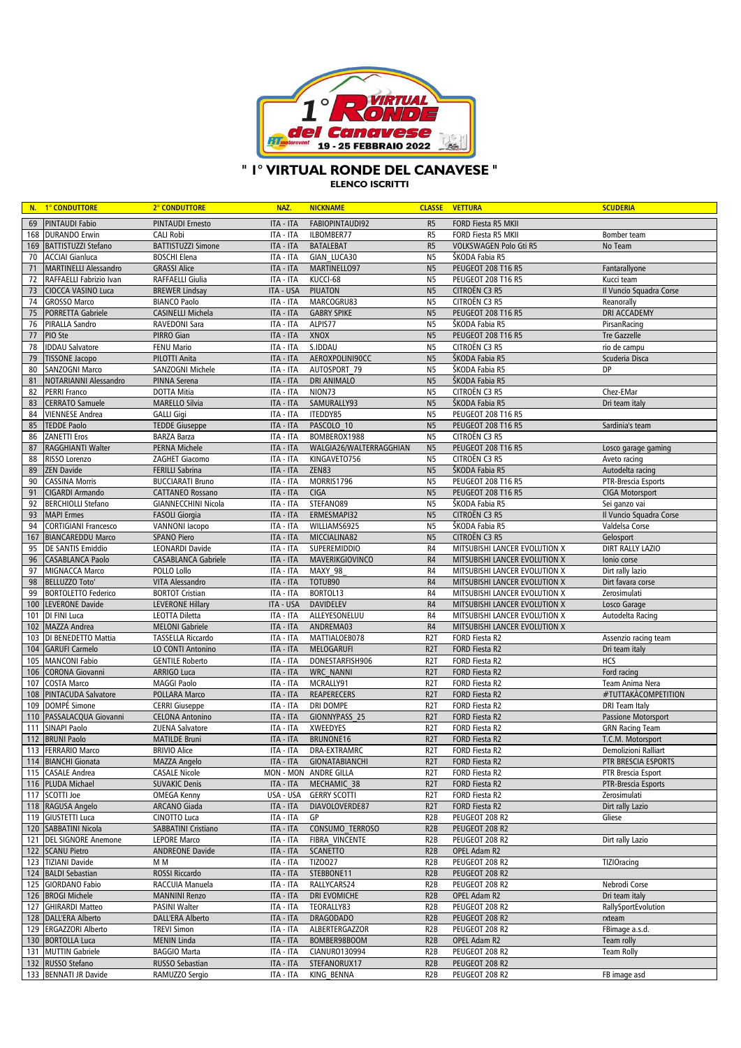

## " I° VIRTUAL RONDE DEL CANAVESE "

**ELENCO ISCRITTI** 

|          | N. 1° CONDUTTORE                           | 2° CONDUTTORE                                      | NAZ.                   | <b>NICKNAME</b>                   |                                      | <b>CLASSE VETTURA</b>                           | <b>SCUDERIA</b>         |
|----------|--------------------------------------------|----------------------------------------------------|------------------------|-----------------------------------|--------------------------------------|-------------------------------------------------|-------------------------|
| 69       | <b>PINTAUDI Fabio</b>                      | <b>PINTAUDI Ernesto</b>                            | ITA - ITA              | FABIOPINTAUDI92                   | R <sub>5</sub>                       | FORD Fiesta R5 MKII                             |                         |
|          | 168 DURANDO Erwin                          | <b>CALI Robi</b>                                   | ITA - ITA              | ILBOMBER77                        | R <sub>5</sub>                       | FORD Fiesta R5 MKII                             | Bomber team             |
| 169      | BATTISTUZZI Stefano                        | <b>BATTISTUZZI Simone</b>                          | ITA - ITA              | <b>BATALEBAT</b>                  | R <sub>5</sub>                       | VOLKSWAGEN Polo Gti R5                          | No Team                 |
| 70       | <b>ACCIAI Gianluca</b>                     | <b>BOSCHI Elena</b>                                | ITA - ITA              | GIAN LUCA30                       | N <sub>5</sub>                       | ŠKODA Fabia R5                                  |                         |
| 71       | <b>MARTINELLI Alessandro</b>               | <b>GRASSI Alice</b>                                | ITA - ITA              | MARTINELLO97                      | N <sub>5</sub>                       | PEUGEOT 208 T16 R5                              | Fantarallyone           |
| 72       | RAFFAELLI Fabrizio Ivan                    | RAFFAELLI Giulia                                   | ITA - ITA              | KUCCI-68                          | N <sub>5</sub>                       | PEUGEOT 208 T16 R5                              | Kucci team              |
| 73       | CIOCCA VASINO Luca                         | <b>BREWER Lindsay</b>                              | ITA - USA              | <b>PIUATON</b>                    | N <sub>5</sub>                       | CITROËN C3 R5                                   | Il Vuncio Squadra Corse |
| 74       | GROSSO Marco                               | <b>BIANCO Paolo</b>                                | ITA - ITA              | MARCOGRU83                        | N <sub>5</sub>                       | CITROËN C3 R5                                   | Reanorally              |
| 75       | PORRETTA Gabriele                          | CASINELLI Michela                                  | ITA - ITA              | <b>GABRY SPIKE</b>                | N <sub>5</sub>                       | <b>PEUGEOT 208 T16 R5</b>                       | DRI ACCADEMY            |
| 76       | PIRALLA Sandro                             | RAVEDONI Sara                                      | ITA - ITA              | ALPIS77                           | N <sub>5</sub>                       | ŠKODA Fabia R5                                  | PirsanRacing            |
| 77       | PIO Ste                                    | PIRRO Gian                                         | ITA - ITA              | XNOX                              | N <sub>5</sub>                       | PEUGEOT 208 T16 R5                              | <b>Tre Gazzelle</b>     |
| 78       | <b>IDDAU Salvatore</b>                     | <b>FENU Mario</b>                                  | ITA - ITA              | S.IDDAU                           | N <sub>5</sub>                       | CITROËN C3 R5                                   | rio de campu            |
| 79       | <b>TISSONE Jacopo</b>                      | PILOTTI Anita                                      | ITA - ITA              | AEROXPOLINI90CC                   | N <sub>5</sub>                       | ŠKODA Fabia R5                                  | Scuderia Disca          |
| 80       | SANZOGNI Marco                             | SANZOGNI Michele                                   | ITA - ITA              | AUTOSPORT 79                      | N <sub>5</sub>                       | ŠKODA Fabia R5                                  | <b>DP</b>               |
| 81<br>82 | NOTARIANNI Alessandro                      | PINNA Serena<br><b>DOTTA Mitia</b>                 | ITA - ITA<br>ITA - ITA | <b>DRI ANIMALO</b><br>NION73      | N <sub>5</sub><br>N <sub>5</sub>     | ŠKODA Fabia R5<br>CITROËN C3 R5                 | Chez-EMar               |
| 83       | PERRI Franco<br><b>CERRATO Samuele</b>     | <b>MARELLO Silvia</b>                              | ITA - ITA              | SAMURALLY93                       | N <sub>5</sub>                       | ŠKODA Fabia R5                                  | Dri team italy          |
| 84       | <b>VIENNESE Andrea</b>                     | <b>GALLI Gigi</b>                                  | ITA - ITA              | ITEDDY85                          | N <sub>5</sub>                       | PEUGEOT 208 T16 R5                              |                         |
| 85       | <b>TEDDE Paolo</b>                         | <b>TEDDE Giuseppe</b>                              | ITA - ITA              | PASCOLO 10                        | N <sub>5</sub>                       | <b>PEUGEOT 208 T16 R5</b>                       | Sardinia's team         |
| 86       | <b>ZANETTI Eros</b>                        | <b>BARZA Barza</b>                                 | ITA - ITA              | BOMBEROX1988                      | N <sub>5</sub>                       | CITROËN C3 R5                                   |                         |
| 87       | RAGGHIANTI Walter                          | <b>PERNA Michele</b>                               | ITA - ITA              | WALGIA26/WALTERRAGGHIAN           | N <sub>5</sub>                       | <b>PEUGEOT 208 T16 R5</b>                       | Losco garage gaming     |
| 88       | RISSO Lorenzo                              | ZAGHET Giacomo                                     | ITA - ITA              | KINGAVETO756                      | N <sub>5</sub>                       | CITROËN C3 R5                                   | Aveto racing            |
| 89       | <b>ZEN Davide</b>                          | <b>FERILLI Sabrina</b>                             | ITA - ITA              | ZEN83                             | N <sub>5</sub>                       | ŠKODA Fabia R5                                  | Autodelta racing        |
| 90       | <b>CASSINA Morris</b>                      | <b>BUCCIARATI Bruno</b>                            | ITA - ITA              | MORRIS1796                        | N <sub>5</sub>                       | PEUGEOT 208 T16 R5                              | PTR-Brescia Esports     |
| 91       | CIGARDI Armando                            | <b>CATTANEO Rossano</b>                            | ITA - ITA              | <b>CIGA</b>                       | N <sub>5</sub>                       | <b>PEUGEOT 208 T16 R5</b>                       | <b>CIGA Motorsport</b>  |
| 92       | <b>BERCHIOLLI Stefano</b>                  | <b>GIANNECCHINI Nicola</b>                         | ITA - ITA              | STEFANO89                         | N <sub>5</sub>                       | ŠKODA Fabia R5                                  | Sei ganzo vai           |
| 93       | <b>MAPI Ermes</b>                          | <b>FASOLI Giorgia</b>                              | ITA - ITA              | ERMESMAPI32                       | N <sub>5</sub>                       | CITROËN C3 R5                                   | Il Vuncio Squadra Corse |
| 94       | <b>CORTIGIANI Francesco</b>                | <b>VANNONI lacopo</b>                              | ITA - ITA              | WILLIAMS6925                      | N <sub>5</sub>                       | ŠKODA Fabia R5                                  | Valdelsa Corse          |
| 167      | <b>BIANCAREDDU Marco</b>                   | <b>SPANO Piero</b>                                 | ITA - ITA              | MICCIALINA82                      | N <sub>5</sub>                       | CITROËN C3 R5                                   | Gelosport               |
| 95       | <b>DE SANTIS Emiddio</b>                   | LEONARDI Davide                                    | ITA - ITA              | <b>SUPEREMIDDIO</b>               | R4                                   | MITSUBISHI LANCER EVOLUTION X                   | <b>DIRT RALLY LAZIO</b> |
| 96       | <b>CASABLANCA Paolo</b>                    | <b>CASABLANCA Gabriele</b>                         | ITA - ITA              | MAVERIKGIOVINCO                   | R4                                   | MITSUBISHI LANCER EVOLUTION X                   | Ionio corse             |
| 97       | MIGNACCA Marco                             | POLLO Lollo                                        | ITA - ITA              | MAXY 98                           | R4                                   | MITSUBISHI LANCER EVOLUTION X                   | Dirt rally lazio        |
| 98       | <b>BELLUZZO Toto</b>                       | VITA Alessandro                                    | ITA - ITA              | TOTUB90                           | R4                                   | MITSUBISHI LANCER EVOLUTION X                   | Dirt favara corse       |
| 99       | <b>BORTOLETTO Federico</b>                 | <b>BORTOT Cristian</b>                             | ITA - ITA              | BORTOL13                          | R4                                   | MITSUBISHI LANCER EVOLUTION X                   | Zerosimulati            |
| 100      | <b>LEVERONE Davide</b>                     | <b>LEVERONE Hillary</b>                            | ITA - USA              | <b>DAVIDELEV</b>                  | R4                                   | MITSUBISHI LANCER EVOLUTION X                   | Losco Garage            |
| 101      | DI FINI Luca                               | <b>LEOTTA Diletta</b>                              | ITA - ITA<br>ITA - ITA | ALLEYESONELUU<br>ANDREMA03        | R4                                   | MITSUBISHI LANCER EVOLUTION X                   | Autodelta Racing        |
| 102      | MAZZA Andrea<br>103 DI BENEDETTO Mattia    | <b>MELONI Gabriele</b><br><b>TASSELLA Riccardo</b> | ITA - ITA              | MATTIALOEB078                     | R4<br>R <sub>2</sub> T               | MITSUBISHI LANCER EVOLUTION X<br>FORD Fiesta R2 | Assenzio racing team    |
| 104      | <b>GARUFI Carmelo</b>                      | LO CONTI Antonino                                  | ITA - ITA              | MELOGARUFI                        | R <sub>2</sub> T                     | FORD Fiesta R2                                  | Dri team italy          |
| 105      | <b>MANCONI Fabio</b>                       | <b>GENTILE Roberto</b>                             | ITA - ITA              | DONESTARFISH906                   | R <sub>2</sub> T                     | FORD Fiesta R2                                  | HCS                     |
| 106      | <b>CORONA Giovanni</b>                     | ARRIGO Luca                                        | ITA - ITA              | <b>WRC NANNI</b>                  | R <sub>2</sub> T                     | FORD Fiesta R2                                  | Ford racing             |
| 107      | <b>COSTA Marco</b>                         | <b>MAGGI Paolo</b>                                 | ITA - ITA              | MCRALLY91                         | R <sub>2</sub> T                     | FORD Fiesta R2                                  | Team Anima Nera         |
| 108      | <b>PINTACUDA Salvatore</b>                 | POLLARA Marco                                      | ITA - ITA              | <b>REAPERECERS</b>                | R <sub>2</sub> T                     | FORD Fiesta R2                                  | #TUTTAKACOMPETITION     |
| 109      | DOMPÉ Simone                               | <b>CERRI Giuseppe</b>                              | ITA - ITA              | <b>DRI DOMPE</b>                  | R <sub>2</sub> T                     | FORD Fiesta R2                                  | <b>DRI Team Italy</b>   |
| 110      | PASSALACQUA Giovanni                       | <b>CELONA Antonino</b>                             | ITA - ITA              | GIONNYPASS 25                     | R <sub>2</sub> T                     | FORD Fiesta R2                                  | Passione Motorsport     |
| 111      | SINAPI Paolo                               | ZUENA Salvatore                                    | ITA - ITA              | XWEEDYES                          | R <sub>2</sub> T                     | FORD Fiesta R2                                  | <b>GRN Racing Team</b>  |
| 112      | <b>BRUNI Paolo</b>                         | <b>MATILDE Bruni</b>                               | ITA - ITA              | BRUNONE16                         | R <sub>2</sub> T                     | FORD Fiesta R2                                  | T.C.M. Motorsport       |
|          | 113 FERRARIO Marco                         | <b>BRIVIO Alice</b>                                | ITA - ITA              | DRA-EXTRAMRC                      | R <sub>2</sub> T                     | FORD Fiesta R2                                  | Demolizioni Ralliart    |
|          | 114 BIANCHI Gionata                        | MAZZA Angelo                                       |                        | ITA - ITA GIONATABIANCHI          | R2T                                  | FORD Fiesta R2                                  | PTR BRESCIA ESPORTS     |
|          | 115 CASALE Andrea                          | <b>CASALE Nicole</b>                               |                        | MON - MON ANDRE GILLA             | R2T                                  | FORD Fiesta R2                                  | PTR Brescia Esport      |
|          | 116 PLUDA Michael                          | <b>SUVAKIC Denis</b>                               | ITA - ITA              | MECHAMIC 38                       | R <sub>2</sub> T                     | FORD Fiesta R2                                  | PTR-Brescia Esports     |
|          | 117 SCOTTI Joe                             | <b>OMEGA Kenny</b>                                 | USA - USA              | <b>GERRY SCOTTI</b>               | R <sub>2</sub> T                     | FORD Fiesta R2                                  | Zerosimulati            |
|          | 118 RAGUSA Angelo                          | ARCANO Giada                                       | ITA - ITA              | DIAVOLOVERDE87                    | R <sub>2</sub> T                     | FORD Fiesta R2                                  | Dirt rally Lazio        |
|          | 119 GIUSTETTI Luca<br>120 SABBATINI Nicola | CINOTTO Luca<br><b>SABBATINI Cristiano</b>         | ITA - ITA<br>ITA - ITA | GP<br>CONSUMO TERROSO             | R <sub>2</sub> B<br>R <sub>2</sub> B | PEUGEOT 208 R2<br>PEUGEOT 208 R2                | Gliese                  |
|          | 121 DEL SIGNORE Anemone                    | LEPORE Marco                                       |                        |                                   |                                      | PEUGEOT 208 R2                                  | Dirt rally Lazio        |
|          | 122 SCANU Pietro                           | <b>ANDREONE Davide</b>                             | ITA - ITA<br>ITA - ITA | FIBRA VINCENTE<br><b>SCANETTO</b> | R <sub>2</sub> B<br>R <sub>2</sub> B | OPEL Adam R2                                    |                         |
|          | 123 TIZIANI Davide                         | M M                                                | ITA - ITA              | <b>TIZO027</b>                    | R <sub>2</sub> B                     | PEUGEOT 208 R2                                  | <b>TIZIOracing</b>      |
|          | 124 BALDI Sebastian                        | ROSSI Riccardo                                     | ITA - ITA              | STEBBONE11                        | R <sub>2</sub> B                     | PEUGEOT 208 R2                                  |                         |
|          | 125 GIORDANO Fabio                         | RACCUIA Manuela                                    | ITA - ITA              | RALLYCARS24                       | R <sub>2</sub> B                     | PEUGEOT 208 R2                                  | Nebrodi Corse           |
|          | 126 BROGI Michele                          | <b>MANNINI Renzo</b>                               | ITA - ITA              | <b>DRI EVOMICHE</b>               | R <sub>2</sub> B                     | OPEL Adam R2                                    | Dri team italy          |
|          | 127 GHIRARDI Matteo                        | PASINI Walter                                      | ITA - ITA              | TEORALLY83                        | R <sub>2</sub> B                     | PEUGEOT 208 R2                                  | RallySportEvolution     |
|          | 128 DALL'ERA Alberto                       | <b>DALL'ERA Alberto</b>                            | ITA - ITA              | <b>DRAGODADO</b>                  | R <sub>2</sub> B                     | PEUGEOT 208 R2                                  | rxteam                  |
|          | 129 ERGAZZORI Alberto                      | <b>TREVI Simon</b>                                 | ITA - ITA              | ALBERTERGAZZOR                    | R <sub>2</sub> B                     | PEUGEOT 208 R2                                  | FBimage a.s.d.          |
|          | 130 BORTOLLA Luca                          | <b>MENIN Linda</b>                                 | ITA - ITA              | BOMBER98BOOM                      | R <sub>2</sub> B                     | OPEL Adam R2                                    | Team rolly              |
|          | 131 MUTTIN Gabriele                        | <b>BAGGIO Marta</b>                                | ITA - ITA              | CIANUR0130994                     | R <sub>2</sub> B                     | PEUGEOT 208 R2                                  | <b>Team Rolly</b>       |
|          | 132 RUSSO Stefano                          | RUSSO Sebastian                                    | ITA - ITA              | STEFANORUX17                      | R <sub>2</sub> B                     | PEUGEOT 208 R2                                  |                         |
|          | 133 BENNATI JR Davide                      | RAMUZZO Sergio                                     | ITA - ITA              | KING BENNA                        | R <sub>2</sub> B                     | PEUGEOT 208 R2                                  | FB image asd            |